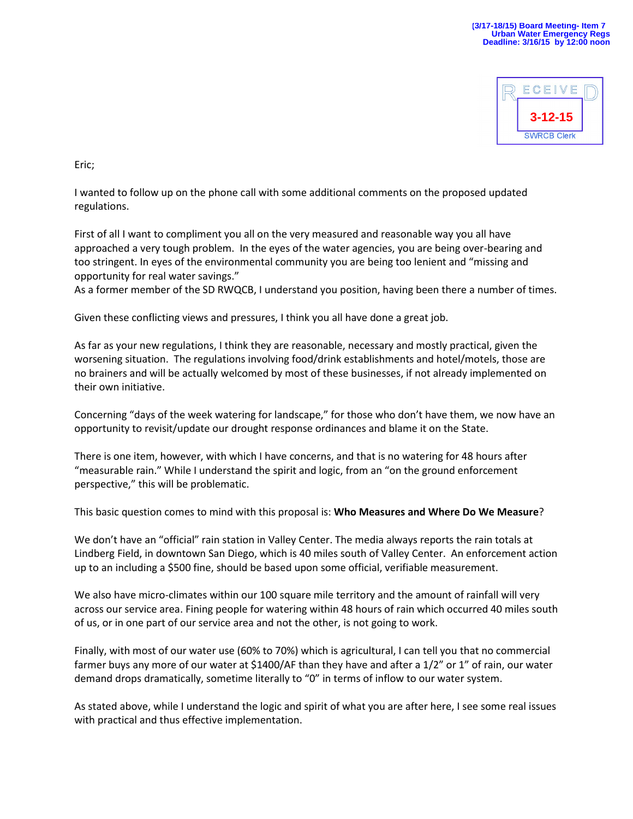

Eric;

I wanted to follow up on the phone call with some additional comments on the proposed updated regulations.

First of all I want to compliment you all on the very measured and reasonable way you all have approached a very tough problem. In the eyes of the water agencies, you are being over-bearing and too stringent. In eyes of the environmental community you are being too lenient and "missing and opportunity for real water savings."

As a former member of the SD RWQCB, I understand you position, having been there a number of times.

Given these conflicting views and pressures, I think you all have done a great job.

As far as your new regulations, I think they are reasonable, necessary and mostly practical, given the worsening situation. The regulations involving food/drink establishments and hotel/motels, those are no brainers and will be actually welcomed by most of these businesses, if not already implemented on their own initiative.

Concerning "days of the week watering for landscape," for those who don't have them, we now have an opportunity to revisit/update our drought response ordinances and blame it on the State.

There is one item, however, with which I have concerns, and that is no watering for 48 hours after "measurable rain." While I understand the spirit and logic, from an "on the ground enforcement perspective," this will be problematic.

This basic question comes to mind with this proposal is: **Who Measures and Where Do We Measure**?

We don't have an "official" rain station in Valley Center. The media always reports the rain totals at Lindberg Field, in downtown San Diego, which is 40 miles south of Valley Center. An enforcement action up to an including a \$500 fine, should be based upon some official, verifiable measurement.

We also have micro-climates within our 100 square mile territory and the amount of rainfall will very across our service area. Fining people for watering within 48 hours of rain which occurred 40 miles south of us, or in one part of our service area and not the other, is not going to work.

Finally, with most of our water use (60% to 70%) which is agricultural, I can tell you that no commercial farmer buys any more of our water at \$1400/AF than they have and after a 1/2" or 1" of rain, our water demand drops dramatically, sometime literally to "0" in terms of inflow to our water system.

As stated above, while I understand the logic and spirit of what you are after here, I see some real issues with practical and thus effective implementation.